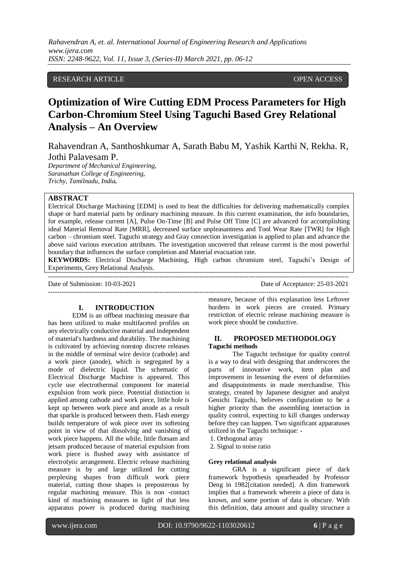*Rahavendran A, et. al. International Journal of Engineering Research and Applications www.ijera.com ISSN: 2248-9622, Vol. 11, Issue 3, (Series-II) March 2021, pp. 06-12*

# RESEARCH ARTICLE **CONSERVERS** OPEN ACCESS

# **Optimization of Wire Cutting EDM Process Parameters for High Carbon-Chromium Steel Using Taguchi Based Grey Relational Analysis – An Overview**

Rahavendran A, Santhoshkumar A, Sarath Babu M, Yashik Karthi N, Rekha. R, Jothi Palavesam P.

*Department of Mechanical Engineering, Saranathan College of Engineering, Trichy, Tamilnadu, India.*

# **ABSTRACT**

Electrical Discharge Machining [EDM] is used to beat the difficulties for delivering mathematically complex shape or hard material parts by ordinary machining measure. In this current examination, the info boundaries, for example, release current [A], Pulse On-Time [B] and Pulse Off Time [C] are advanced for accomplishing ideal Material Removal Rate [MRR], decreased surface unpleasantness and Tool Wear Rate [TWR] for High carbon – chromium steel. Taguchi strategy and Gray connection investigation is applied to plan and advance the above said various execution attributes. The investigation uncovered that release current is the most powerful boundary that influences the surface completion and Material evacuation rate.

**KEYWORDS:** Electrical Discharge Machining, High carbon chromium steel, Taguchi's Design of Experiments, Grey Relational Analysis. ---------------------------------------------------------------------------------------------------------------------------------------

Date of Submission: 10-03-2021 Date of Acceptance: 25-03-2021

 $-1-\frac{1}{2}$ 

### **I. INTRODUCTION**

EDM is an offbeat machining measure that has been utilized to make multifaceted profiles on any electrically conductive material and independent of material's hardness and durability. The machining is cultivated by achieving nonstop discrete releases in the middle of terminal wire device (cathode) and a work piece (anode), which is segregated by a mode of dielectric liquid. The schematic of Electrical Discharge Machine is appeared. This cycle use electrothermal component for material expulsion from work piece. Potential distinction is applied among cathode and work piece, little hole is kept up between work piece and anode as a result that sparkle is produced between them. Flash energy builds temperature of wok piece over its softening point in view of that dissolving and vanishing of work piece happens. All the while, little flotsam and jetsam produced because of material expulsion from work piece is flushed away with assistance of electrolytic arrangement. Electric release machining measure is by and large utilized for cutting perplexing shapes from difficult work piece material, cutting those shapes is preposterous by regular machining measure. This is non -contact kind of machining measures in light of that less apparatus power is produced during machining measure, because of this explanation less Leftover burdens in work pieces are created. Primary restriction of electric release machining measure is work piece should be conductive.

## **II. PROPOSED METHODOLOGY Taguchi methods**

The Taguchi technique for quality control is a way to deal with designing that underscores the parts of innovative work, item plan and improvement in lessening the event of deformities and disappointments in made merchandise. This strategy, created by Japanese designer and analyst Genichi Taguchi, believes configuration to be a higher priority than the assembling interaction in quality control, expecting to kill changes underway before they can happen. Two significant apparatuses utilized in the Taguchi technique: -

- 1. Orthogonal array
- 2. Signal to noise ratio

#### **Grey relational analysis**

GRA is a significant piece of dark framework hypothesis spearheaded by Professor Deng in 1982[citation needed]. A dim framework implies that a framework wherein a piece of data is known, and some portion of data is obscure. With this definition, data amount and quality structure a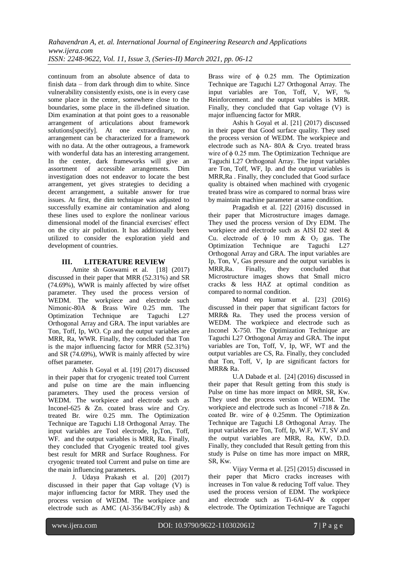continuum from an absolute absence of data to finish data – from dark through dim to white. Since vulnerability consistently exists, one is in every case some place in the center, somewhere close to the boundaries, some place in the ill-defined situation. Dim examination at that point goes to a reasonable arrangement of articulations about framework solutions [specify]. At one extraordinary, no arrangement can be characterized for a framework with no data. At the other outrageous, a framework with wonderful data has an interesting arrangement. In the center, dark frameworks will give an assortment of accessible arrangements. Dim investigation does not endeavor to locate the best arrangement, yet gives strategies to deciding a decent arrangement, a suitable answer for true issues. At first, the dim technique was adjusted to successfully examine air contamination and along these lines used to explore the nonlinear various dimensional model of the financial exercises' effect on the city air pollution. It has additionally been utilized to consider the exploration yield and development of countries.

# **III. LITERATURE REVIEW**

Amite sh Goswami et al. [18] (2017) discussed in their paper that MRR (52.31%) and SR (74.69%), WWR is mainly affected by wire offset parameter. They used the process version of WEDM. The workpiece and electrode such Nimonic-80A & Brass Wire 0.25 mm. The Optimization Technique are Taguchi L27 Orthogonal Array and GRA. The input variables are Ton, Toff, Ip, WO. Cp and the output variables are MRR, Ra, WWR. Finally, they concluded that Ton is the major influencing factor for MRR (52.31%) and SR (74.69%), WWR is mainly affected by wire offset parameter.

Ashis h Goyal et al. [19] (2017) discussed in their paper that for cryogenic treated tool Current and pulse on time are the main influencing parameters. They used the process version of WEDM. The workpiece and electrode such as Inconel-625 & Zn. coated brass wire and Cry. treated Br. wire 0.25 mm. The Optimization Technique are Taguchi L18 Orthogonal Array. The input variables are Tool electrode, Ip,Ton, Toff, WF. and the output variables is MRR, Ra. Finally, they concluded that Cryogenic treated tool gives best result for MRR and Surface Roughness. For cryogenic treated tool Current and pulse on time are the main influencing parameters.

J. Udaya Prakash et al. [20] (2017) discussed in their paper that Gap voltage (V) is major influencing factor for MRR. They used the process version of WEDM. The workpiece and electrode such as AMC (Al-356/B4C/Fly ash) & Brass wire of  $\phi$  0.25 mm. The Optimization Technique are Taguchi L27 Orthogonal Array. The input variables are Ton, Toff, V, WF, % Reinforcement. and the output variables is MRR. Finally, they concluded that Gap voltage (V) is major influencing factor for MRR.

Ashis h Goyal et al. [21] (2017) discussed in their paper that Good surface quality. They used the process version of WEDM. The workpiece and electrode such as NA- 80A & Cryo. treated brass wire of  $\phi$  0.25 mm. The Optimization Technique are Taguchi L27 Orthogonal Array. The input variables are Ton, Toff, WF, Ip. and the output variables is MRR,Ra . Finally, they concluded that Good surface quality is obtained when machined with cryogenic treated brass wire as compared to normal brass wire by maintain machine parameter at same condition.

Pragadish et al. [22] (2016) discussed in their paper that Microstructure images damage. They used the process version of Dry EDM. The workpiece and electrode such as AISI D2 steel & Cu. electrode of  $\phi$  10 mm & O<sub>2</sub> gas. The Optimization Technique are Taguchi L27 Orthogonal Array and GRA. The input variables are Ip, Ton, V, Gas pressure and the output variables is MRR,Ra. Finally, they concluded that Microstructure images shows that Small micro cracks & less HAZ at optimal condition as compared to normal condition.

Mand eep kumar et al. [23] (2016) discussed in their paper that significant factors for MRR& Ra. They used the process version of WEDM. The workpiece and electrode such as Inconel X-750. The Optimization Technique are Taguchi L27 Orthogonal Array and GRA. The input variables are Ton, Toff, V, Ip, WF, WT and the output variables are CS, Ra. Finally, they concluded that Ton, Toff, V, Ip are significant factors for MRR& Ra.

U.A Dabade et al. [24] (2016) discussed in their paper that Result getting from this study is Pulse on time has more impact on MRR, SR, Kw. They used the process version of WEDM. The workpiece and electrode such as Inconel -718 & Zn. coated Br. wire of ϕ 0.25mm. The Optimization Technique are Taguchi L8 Orthogonal Array. The input variables are Ton, Toff, Ip, W.F, W.T, SV and the output variables are MRR, Ra, KW, D.D. Finally, they concluded that Result getting from this study is Pulse on time has more impact on MRR, SR, Kw.

Vijay Verma et al. [25] (2015) discussed in their paper that Micro cracks increases with increases in Ton value & reducing Toff value. They used the process version of EDM. The workpiece and electrode such as Ti-6Al-4V & copper electrode. The Optimization Technique are Taguchi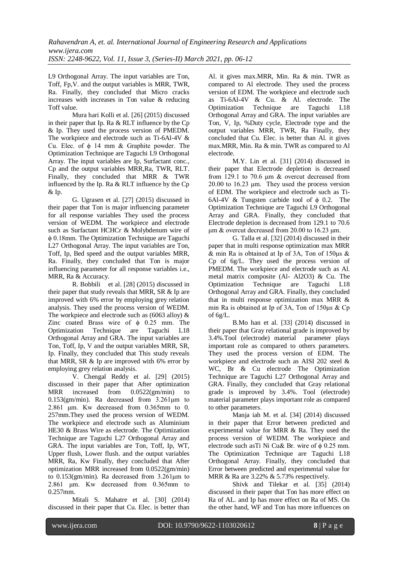L9 Orthogonal Array. The input variables are Ton, Toff, Fp,V. and the output variables is MRR, TWR, Ra. Finally, they concluded that Micro cracks increases with increases in Ton value & reducing Toff value.

Mura hari Kolli et al. [26] (2015) discussed in their paper that Ip. Ra & RLT influence by the Cp & Ip. They used the process version of PMEDM. The workpiece and electrode such as Ti-6Al-4V & Cu. Elec. of  $\phi$  14 mm & Graphite powder. The Optimization Technique are Taguchi L9 Orthogonal Array. The input variables are Ip, Surfactant conc., Cp and the output variables MRR,Ra, TWR, RLT. Finally, they concluded that MRR & TWR influenced by the Ip. Ra & RLT influence by the Cp & Ip.

G. Ugrasen et al. [27] (2015) discussed in their paper that Ton is major influencing parameter for all response variables They used the process version of WEDM. The workpiece and electrode such as Surfactant HCHCr & Molybdenum wire of ϕ 0.18mm. The Optimization Technique are Taguchi L27 Orthogonal Array. The input variables are Ton, Toff, Ip, Bed speed and the output variables MRR, Ra. Finally, they concluded that Ton is major influencing parameter for all response variables i.e., MRR, Ra & Accuracy.

R. Bobbili et al. [28] (2015) discussed in their paper that study reveals that MRR, SR & Ip are improved with 6% error by employing grey relation analysis. They used the process version of WEDM. The workpiece and electrode such as (6063 alloy) & Zinc coated Brass wire of  $\phi$  0.25 mm. The Optimization Technique are Taguchi L18 Orthogonal Array and GRA. The input variables are Ton, Toff, Ip, V and the output variables MRR, SR, Ip. Finally, they concluded that This study reveals that MRR, SR & Ip are improved with 6% error by employing grey relation analysis.

V. Chengal Reddy et al. [29] (2015) discussed in their paper that After optimization MRR increased from 0.0522(gm/min) to 0.153(gm/min). Ra decreased from 3.261μm to 2.861 μm. Kw decreased from 0.365mm to 0. 257mm.They used the process version of WEDM. The workpiece and electrode such as Aluminium HE30 & Brass Wire as electrode. The Optimization Technique are Taguchi L27 Orthogonal Array and GRA. The input variables are Ton, Toff, Ip, WT, Upper flush, Lower flush. and the output variables MRR, Ra, Kw Finally, they concluded that After optimization MRR increased from 0.0522(gm/min) to 0.153(gm/min). Ra decreased from 3.261μm to 2.861 μm. Kw decreased from 0.365mm to 0.257mm.

Mitali S. Mahatre et al. [30] (2014) discussed in their paper that Cu. Elec. is better than Al. it gives max.MRR, Min. Ra & min. TWR as compared to Al electrode. They used the process version of EDM. The workpiece and electrode such as Ti-6Al-4V & Cu. & Al. electrode. The Optimization Technique are Taguchi L18 Orthogonal Array and GRA. The input variables are Ton, V, Ip, %Duty cycle, Electrode type and the output variables MRR, TWR, Ra Finally, they concluded that Cu. Elec. is better than Al. it gives max.MRR, Min. Ra & min. TWR as compared to Al electrode.

M.Y. Lin et al. [31] (2014) discussed in their paper that Electrode depletion is decreased from 129.1 to 70.6 μm & overcut decreased from 20.00 to 16.23 μm. They used the process version of EDM. The workpiece and electrode such as Ti-6Al-4V & Tungsten carbide tool of  $\phi$  0.2. The Optimization Technique are Taguchi L9 Orthogonal Array and GRA. Finally, they concluded that Electrode depletion is decreased from 129.1 to 70.6 μm & overcut decreased from 20.00 to 16.23 μm.

G. Talla et al. [32] (2014) discussed in their paper that in multi response optimization max MRR & min Ra is obtained at Ip of 3A, Ton of 150μs & Cp of 6g/L. They used the process version of PMEDM. The workpiece and electrode such as Al. metal matrix composite (Al- Al2O3) & Cu. The Optimization Technique are Taguchi L18 Orthogonal Array and GRA. Finally, they concluded that in multi response optimization max MRR & min Ra is obtained at Ip of 3A, Ton of 150μs & Cp of 6g/L.

B.Mo han et al. [33] (2014) discussed in their paper that Gray relational grade is improved by 3.4%.Tool (electrode) material parameter plays important role as compared to others parameters. They used the process version of EDM. The workpiece and electrode such as AISI 202 steel & WC, Br & Cu electrode The Optimization Technique are Taguchi L27 Orthogonal Array and GRA. Finally, they concluded that Gray relational grade is improved by 3.4%. Tool (electrode) material parameter plays important role as compared to other parameters.

Manja iah M. et al. [34] (2014) discussed in their paper that Error between predicted and experimental value for MRR & Ra. They used the process version of WEDM. The workpiece and electrode such asTi Ni Cu& Br. wire of  $\phi$  0.25 mm. The Optimization Technique are Taguchi L18 Orthogonal Array. Finally, they concluded that Error between predicted and experimental value for MRR & Ra are 3.22% & 5.73% respectively.

Shivk and Tilekar et al. [35] (2014) discussed in their paper that Ton has more effect on Ra of AL. and Ip has more effect on Ra of MS. On the other hand, WF and Ton has more influences on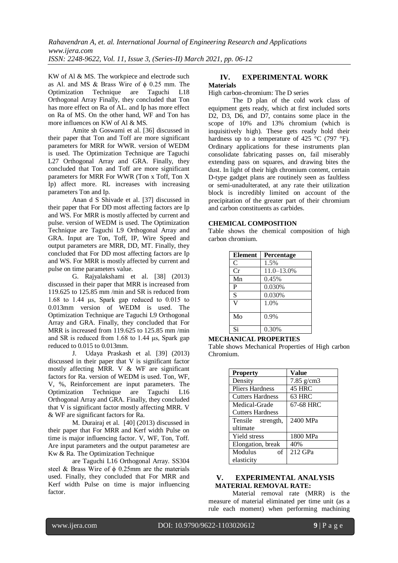KW of Al & MS. The workpiece and electrode such as Al. and MS & Brass Wire of  $\phi$  0.25 mm. The Optimization Technique are Taguchi L18 Orthogonal Array Finally, they concluded that Ton has more effect on Ra of AL. and Ip has more effect on Ra of MS. On the other hand, WF and Ton has more influences on KW of Al & MS.

Amite sh Goswami et al. [36] discussed in their paper that Ton and Toff are more significant parameters for MRR for WWR. version of WEDM is used. The Optimization Technique are Taguchi L27 Orthogonal Array and GRA. Finally, they concluded that Ton and Toff are more significant parameters for MRR For WWR (Ton x Toff, Ton X Ip) affect more. RL increases with increasing parameters Ton and Ip.

Anan d S Shivade et al. [37] discussed in their paper that For DD most affecting factors are Ip and WS. For MRR is mostly affected by current and pulse. version of WEDM is used. The Optimization Technique are Taguchi L9 Orthogonal Array and GRA. Input are Ton, Toff, IP, Wire Speed and output parameters are MRR, DD, MT. Finally, they concluded that For DD most affecting factors are Ip and WS. For MRR is mostly affected by current and pulse on time parameters value.

G. Rajyalakshami et al. [38] (2013) discussed in their paper that MRR is increased from 119.625 to 125.85 mm /min and SR is reduced from 1.68 to 1.44 μs, Spark gap reduced to 0.015 to 0.013mm version of WEDM is used. The Optimization Technique are Taguchi L9 Orthogonal Array and GRA. Finally, they concluded that For MRR is increased from 119.625 to 125.85 mm/min and SR is reduced from 1.68 to 1.44 μs, Spark gap reduced to 0.015 to 0.013mm.

J. Udaya Praskash et al. [39] (2013) discussed in their paper that V is significant factor mostly affecting MRR. V & WF are significant factors for Ra. version of WEDM is used. Ton, WF, V, %, Reinforcement are input parameters. The Optimization Technique are Taguchi L16 Orthogonal Array and GRA. Finally, they concluded that V is significant factor mostly affecting MRR. V & WF are significant factors for Ra.

M. Durairaj et al. [40] (2013) discussed in their paper that For MRR and Kerf width Pulse on time is major influencing factor. V, WF, Ton, Toff. Are input parameters and the output parametesr are Kw & Ra. The Optimization Technique

are Taguchi L16 Orthogonal Array. SS304 steel & Brass Wire of φ 0.25mm are the materials used. Finally, they concluded that For MRR and Kerf width Pulse on time is major influencing factor.

### **IV. EXPERIMENTAL WORK Materials**

# High carbon-chromium: The D series

The D plan of the cold work class of equipment gets ready, which at first included sorts D2, D3, D6, and D7, contains some place in the scope of 10% and 13% chromium (which is inquisitively high). These gets ready hold their hardness up to a temperature of 425  $^{\circ}$ C (797  $^{\circ}$ F). Ordinary applications for these instruments plan consolidate fabricating passes on, fail miserably extending pass on squares, and drawing bites the dust. In light of their high chromium content, certain D-type gadget plans are routinely seen as faultless or semi-unadulterated, at any rate their utilization block is incredibly limited on account of the precipitation of the greater part of their chromium and carbon constituents as carbides.

# **CHEMICAL COMPOSITION**

Table shows the chemical composition of high carbon chromium.

| <b>Element</b> | <b>Percentage</b> |
|----------------|-------------------|
| C              | 1.5%              |
| Cr             | $11.0 - 13.0%$    |
| Mn             | 0.45%             |
| P              | 0.030%            |
| S              | 0.030%            |
| V              | 1.0%              |
| Mo             | 0.9%              |
| Si             | 0.30%             |

### **MECHANICAL PROPERTIES**

Table shows Mechanical Properties of High carbon Chromium.

| <b>Property</b>         | <b>Value</b> |
|-------------------------|--------------|
| Density                 | $7.85$ g/cm3 |
| <b>Pliers Hardness</b>  | 45 HRC       |
| <b>Cutters Hardness</b> | 63 HRC       |
| Medical-Grade           | 67-68 HRC    |
| <b>Cutters Hardness</b> |              |
| Tensile strength,       | 2400 MPa     |
| ultimate                |              |
| Yield stress            | 1800 MPa     |
| Elongation, break       | 40%          |
| Modulus<br>of           | $212$ GPa    |
| elasticity              |              |

# **V. EXPERIMENTAL ANALYSIS MATERIAL REMOVAL RATE:**

Material removal rate (MRR) is the measure of material eliminated per time unit (as a rule each moment) when performing machining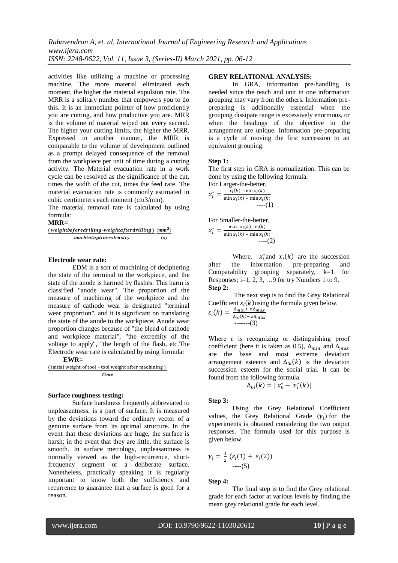activities like utilizing a machine or processing machine. The more material eliminated each moment, the higher the material expulsion rate. The MRR is a solitary number that empowers you to do this. It is an immediate pointer of how proficiently you are cutting, and how productive you are. MRR is the volume of material wiped out every second. The higher your cutting limits, the higher the MRR. Expressed in another manner, the MRR is comparable to the volume of development outlined as a prompt delayed consequence of the removal from the workpiece per unit of time during a cutting activity. The Material evacuation rate in a work cycle can be resolved as the significance of the cut, times the width of the cut, times the feed rate. The material evacuation rate is commonly estimated in cubic centimeters each moment (cm3/min).

The material removal rate is calculated by using formula:

#### **MRR=**

| (weightbeforedrilling-weightafterdrilling ) (mm $^3$ ) |     |
|--------------------------------------------------------|-----|
| machiningtime*density                                  | (s) |

## **Electrode wear rate:**

EDM is a sort of machining of deciphering the state of the terminal to the workpiece, and the state of the anode is harmed by flashes. This harm is classified "anode wear". The proportion of the measure of machining of the workpiece and the measure of cathode wear is designated "terminal wear proportion", and it is significant on translating the state of the anode to the workpiece. Anode wear proportion changes because of "the blend of cathode and workpiece material", "the extremity of the voltage to apply", "the length of the flash, etc.The Electrode wear rate is calculated by using formula:

### **EWR=**

(initial weight of tool - tool weight after machining) Time

#### **Surface roughness testing:**

Surface harshness frequently abbreviated to unpleasantness, is a part of surface. It is measured by the deviations toward the ordinary vector of a genuine surface from its optimal structure. In the event that these deviations are huge, the surface is harsh; in the event that they are little, the surface is smooth. In surface metrology, unpleasantness is normally viewed as the high-recurrence, shortfrequency segment of a deliberate surface. Nonetheless, practically speaking it is regularly important to know both the sufficiency and recurrence to guarantee that a surface is good for a reason.

### **GREY RELATIONAL ANALYSIS:**

In GRA, information pre-handling is needed since the reach and unit in one information grouping may vary from the others. Information prepreparing is additionally essential when the grouping dissipate range is excessively enormous, or when the headings of the objective in the arrangement are unique. Information pre-preparing is a cycle of moving the first succession to an equivalent grouping.

#### **Step 1:**

The first step in GRA is normalization. This can be done by using the following formula.

For Larger-the-better,

$$
x_i^* = \frac{x_i(k) - \min x_i(k)}{\min x_i(k) - \min x_i(k)} - \dots - (1)
$$

For Smaller-the-better,  $x_i^* = \frac{\max x_i(k) - x_i(k)}{\min x_i(k)}$  $\min x_i(k) - \min x_i(k)$  $---(2)$ 

Where,  $x_i^*$  and  $x_i(k)$  are the succession after the information pre-preparing and Comparability grouping separately,  $k=1$  for Responses; i=1, 2, 3, ... 9 for try Numbers 1 to 9. **Step 2:**

The next step is to find the Grey Relational Coefficient  $\varepsilon_i(k)$ using the formula given below.  $\varepsilon_i(k) = \frac{\Delta}{4}$  $\Delta_{0i}$ -------(3)

Where ε is recognizing or distinguishing proof coefficient (here it is taken as 0.5),  $\Delta_{min}$  and  $\Delta_{max}$ are the base and most extreme deviation arrangement esteems and  $\Delta_{0i}(k)$  is the deviation succession esteem for the social trial. It can be found from the following formula.

$$
\Delta_{0i}(k) = |x_0^* - x_i^*(k)|
$$

### **Step 3:**

Using the Grey Relational Coefficient values, the Grey Relational Grade  $(\gamma_i)$  for the experiments is obtained considering the two output responses. The formula used for this purpose is given below.

$$
\gamma_i = \frac{1}{2} \left( \varepsilon_i(1) + \varepsilon_i(2) \right) \quad \text{---}(5)
$$

**Step 4:**

The final step is to find the Grey relational grade for each factor at various levels by finding the mean grey relational grade for each level.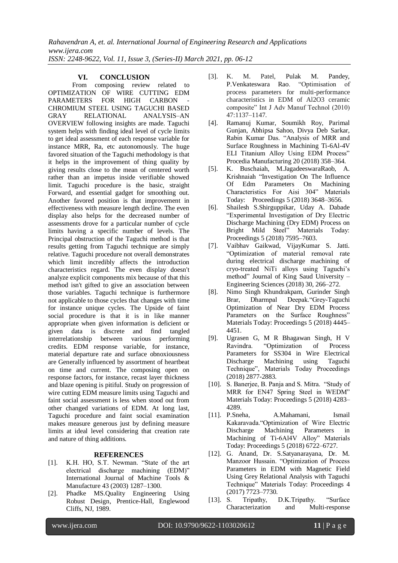*Rahavendran A, et. al. International Journal of Engineering Research and Applications www.ijera.com ISSN: 2248-9622, Vol. 11, Issue 3, (Series-II) March 2021, pp. 06-12*

### **VI. CONCLUSION**

From composing review related to OPTIMIZATION OF WIRE CUTTING EDM PARAMETERS FOR HIGH CARBON CHROMIUM STEEL USING TAGUCHI BASED GRAY RELATIONAL ANALYSIS–AN OVERVIEW following insights are made. Taguchi system helps with finding ideal level of cycle limits to get ideal assessment of each response variable for instance MRR, Ra, etc autonomously. The huge favored situation of the Taguchi methodology is that it helps in the improvement of thing quality by giving results close to the mean of centered worth rather than an impetus inside verifiable showed limit. Taguchi procedure is the basic, straight Forward, and essential gadget for smoothing out. Another favored position is that improvement in effectiveness with measure length decline. The even display also helps for the decreased number of assessments drove for a particular number of cycle limits having a specific number of levels. The Principal obstruction of the Taguchi method is that results getting from Taguchi technique are simply relative. Taguchi procedure not overall demonstrates which limit incredibly affects the introduction characteristics regard. The even display doesn't analyze explicit components mix because of that this method isn't gifted to give an association between those variables. Taguchi technique is furthermore not applicable to those cycles that changes with time for instance unique cycles. The Upside of faint social procedure is that it is in like manner appropriate when given information is deficient or given data is discrete and find tangled interrelationship between various performing credits. EDM response variable, for instance, material departure rate and surface obnoxiousness are Generally influenced by assortment of heartbeat on time and current. The composing open on response factors, for instance, recast layer thickness and blaze opening is pitiful. Study on progression of wire cutting EDM measure limits using Taguchi and faint social assessment is less when stood out from other changed variations of EDM. At long last, Taguchi procedure and faint social examination makes measure generous just by defining measure limits at ideal level considering that creation rate and nature of thing additions.

# **REFERENCES**

- [1]. K.H. HO, S.T. Newman. "State of the art electrical discharge machining (EDM)" International Journal of Machine Tools & Manufacture 43 (2003) 1287–1300.
- [2]. Phadke MS.Quality Engineering Using Robust Design, Prentice-Hall, Englewood Cliffs, NJ, 1989.
- [3]. K. M. Patel, Pulak M. Pandey, P.Venkateswara Rao. "Optimisation of process parameters for multi-performance characteristics in EDM of Al2O3 ceramic composite" Int J Adv Manuf Technol (2010) 47:1137–1147.
- [4]. Ramanuj Kumar, Soumikh Roy, Parimal Gunjan, Abhipsa Sahoo, Divya Deb Sarkar, Rabin Kumar Das. "Analysis of MRR and Surface Roughness in Machining Ti-6Al-4V ELI Titanium Alloy Using EDM Process" Procedia Manufacturing 20 (2018) 358–364.
- [5]. K. Buschaiah, M.JagadeeswaraRaob, A. Krishnaiah "Investigation On The Influence Of Edm Parameters On Machining Characteristics For Aisi 304" Materials Today: Proceedings 5 (2018) 3648–3656.
- [6]. Shailesh S.Shirguppikar, Uday A. Dabade "Experimental Investigation of Dry Electric Discharge Machining (Dry EDM) Process on Bright Mild Steel" Materials Today: Proceedings 5 (2018) 7595–7603.
- [7]. Vaibhav Gaikwad, VijayKumar S. Jatti. "Optimization of material removal rate during electrical discharge machining of cryo-treated NiTi alloys using Taguchi's method" Journal of King Saud University – Engineering Sciences (2018) 30, 266–272.
- [8]. Nimo Singh Khundrakpam, Gurinder Singh Brar, Dharmpal Deepak."Grey-Taguchi Optimization of Near Dry EDM Process Parameters on the Surface Roughness" Materials Today: Proceedings 5 (2018) 4445– 4451.
- [9]. Ugrasen G, M R Bhagawan Singh, H V Ravindra. "Optimization of Process Parameters for SS304 in Wire Electrical Discharge Machining using Taguchi Technique", Materials Today Proceedings (2018) 2877-2883.
- [10]. S. Banerjee, B. Panja and S. Mitra. "Study of MRR for EN47 Spring Steel in WEDM" Materials Today: Proceedings 5 (2018) 4283– 4289.
- [11]. P.Sneha, A.Mahamani, Ismail Kakaravada."Optimization of Wire Electric Discharge Machining Parameters in Machining of Ti-6Al4V Alloy" Materials Today: Proceedings 5 (2018) 6722–6727.
- [12]. G. Anand, Dr. S.Satyanarayana, Dr. M. Manzoor Hussain. "Optimization of Process Parameters in EDM with Magnetic Field Using Grey Relational Analysis with Taguchi Technique" Materials Today: Proceedings 4 (2017) 7723–7730.
- [13]. S. Tripathy, D.K.Tripathy. "Surface Characterization and Multi-response